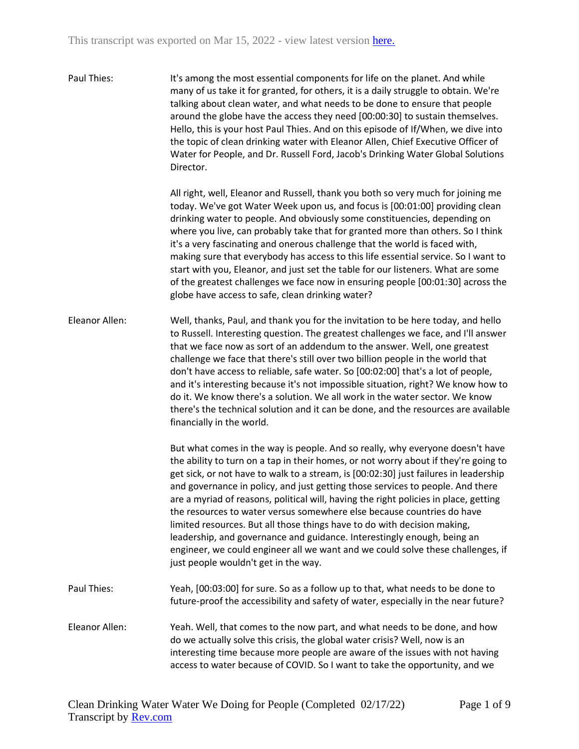Paul Thies: It's among the most essential components for life on the planet. And while many of us take it for granted, for others, it is a daily struggle to obtain. We're talking about clean water, and what needs to be done to ensure that people around the globe have the access they need [00:00:30] to sustain themselves. Hello, this is your host Paul Thies. And on this episode of If/When, we dive into the topic of clean drinking water with Eleanor Allen, Chief Executive Officer of Water for People, and Dr. Russell Ford, Jacob's Drinking Water Global Solutions Director.

> All right, well, Eleanor and Russell, thank you both so very much for joining me today. We've got Water Week upon us, and focus is [00:01:00] providing clean drinking water to people. And obviously some constituencies, depending on where you live, can probably take that for granted more than others. So I think it's a very fascinating and onerous challenge that the world is faced with, making sure that everybody has access to this life essential service. So I want to start with you, Eleanor, and just set the table for our listeners. What are some of the greatest challenges we face now in ensuring people [00:01:30] across the globe have access to safe, clean drinking water?

Eleanor Allen: Well, thanks, Paul, and thank you for the invitation to be here today, and hello to Russell. Interesting question. The greatest challenges we face, and I'll answer that we face now as sort of an addendum to the answer. Well, one greatest challenge we face that there's still over two billion people in the world that don't have access to reliable, safe water. So [00:02:00] that's a lot of people, and it's interesting because it's not impossible situation, right? We know how to do it. We know there's a solution. We all work in the water sector. We know there's the technical solution and it can be done, and the resources are available financially in the world.

> But what comes in the way is people. And so really, why everyone doesn't have the ability to turn on a tap in their homes, or not worry about if they're going to get sick, or not have to walk to a stream, is [00:02:30] just failures in leadership and governance in policy, and just getting those services to people. And there are a myriad of reasons, political will, having the right policies in place, getting the resources to water versus somewhere else because countries do have limited resources. But all those things have to do with decision making, leadership, and governance and guidance. Interestingly enough, being an engineer, we could engineer all we want and we could solve these challenges, if just people wouldn't get in the way.

- Paul Thies: Yeah, [00:03:00] for sure. So as a follow up to that, what needs to be done to future-proof the accessibility and safety of water, especially in the near future?
- Eleanor Allen: Yeah. Well, that comes to the now part, and what needs to be done, and how do we actually solve this crisis, the global water crisis? Well, now is an interesting time because more people are aware of the issues with not having access to water because of COVID. So I want to take the opportunity, and we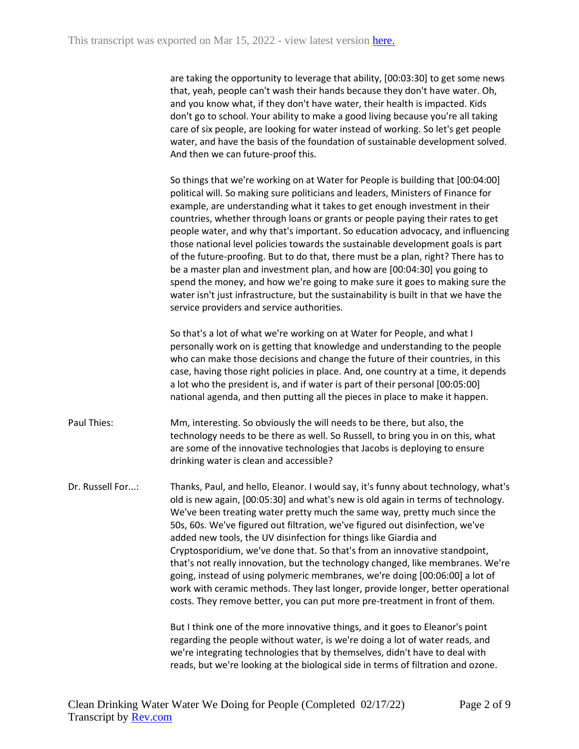are taking the opportunity to leverage that ability, [00:03:30] to get some news that, yeah, people can't wash their hands because they don't have water. Oh, and you know what, if they don't have water, their health is impacted. Kids don't go to school. Your ability to make a good living because you're all taking care of six people, are looking for water instead of working. So let's get people water, and have the basis of the foundation of sustainable development solved. And then we can future-proof this.

So things that we're working on at Water for People is building that [00:04:00] political will. So making sure politicians and leaders, Ministers of Finance for example, are understanding what it takes to get enough investment in their countries, whether through loans or grants or people paying their rates to get people water, and why that's important. So education advocacy, and influencing those national level policies towards the sustainable development goals is part of the future-proofing. But to do that, there must be a plan, right? There has to be a master plan and investment plan, and how are [00:04:30] you going to spend the money, and how we're going to make sure it goes to making sure the water isn't just infrastructure, but the sustainability is built in that we have the service providers and service authorities.

So that's a lot of what we're working on at Water for People, and what I personally work on is getting that knowledge and understanding to the people who can make those decisions and change the future of their countries, in this case, having those right policies in place. And, one country at a time, it depends a lot who the president is, and if water is part of their personal [00:05:00] national agenda, and then putting all the pieces in place to make it happen.

Paul Thies: Mm, interesting. So obviously the will needs to be there, but also, the technology needs to be there as well. So Russell, to bring you in on this, what are some of the innovative technologies that Jacobs is deploying to ensure drinking water is clean and accessible?

Dr. Russell For...: Thanks, Paul, and hello, Eleanor. I would say, it's funny about technology, what's old is new again, [00:05:30] and what's new is old again in terms of technology. We've been treating water pretty much the same way, pretty much since the 50s, 60s. We've figured out filtration, we've figured out disinfection, we've added new tools, the UV disinfection for things like Giardia and Cryptosporidium, we've done that. So that's from an innovative standpoint, that's not really innovation, but the technology changed, like membranes. We're going, instead of using polymeric membranes, we're doing [00:06:00] a lot of work with ceramic methods. They last longer, provide longer, better operational costs. They remove better, you can put more pre-treatment in front of them.

> But I think one of the more innovative things, and it goes to Eleanor's point regarding the people without water, is we're doing a lot of water reads, and we're integrating technologies that by themselves, didn't have to deal with reads, but we're looking at the biological side in terms of filtration and ozone.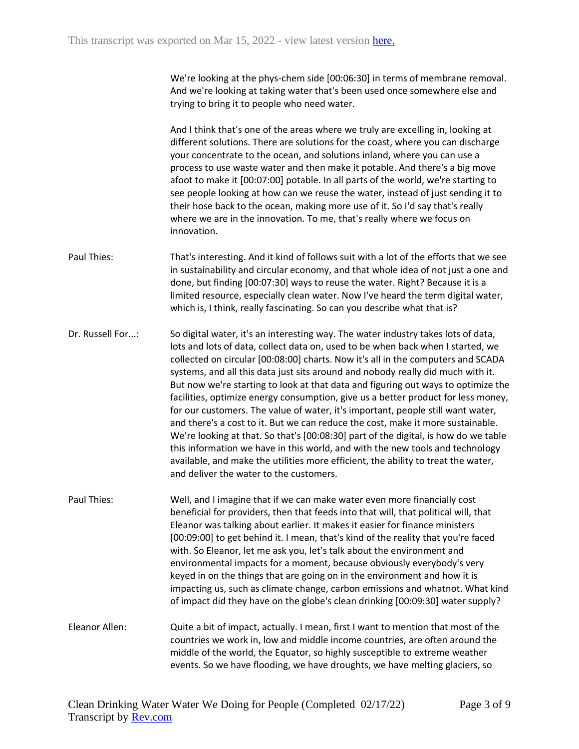We're looking at the phys-chem side [00:06:30] in terms of membrane removal. And we're looking at taking water that's been used once somewhere else and trying to bring it to people who need water.

And I think that's one of the areas where we truly are excelling in, looking at different solutions. There are solutions for the coast, where you can discharge your concentrate to the ocean, and solutions inland, where you can use a process to use waste water and then make it potable. And there's a big move afoot to make it [00:07:00] potable. In all parts of the world, we're starting to see people looking at how can we reuse the water, instead of just sending it to their hose back to the ocean, making more use of it. So I'd say that's really where we are in the innovation. To me, that's really where we focus on innovation.

- Paul Thies: That's interesting. And it kind of follows suit with a lot of the efforts that we see in sustainability and circular economy, and that whole idea of not just a one and done, but finding [00:07:30] ways to reuse the water. Right? Because it is a limited resource, especially clean water. Now I've heard the term digital water, which is, I think, really fascinating. So can you describe what that is?
- Dr. Russell For...: So digital water, it's an interesting way. The water industry takes lots of data, lots and lots of data, collect data on, used to be when back when I started, we collected on circular [00:08:00] charts. Now it's all in the computers and SCADA systems, and all this data just sits around and nobody really did much with it. But now we're starting to look at that data and figuring out ways to optimize the facilities, optimize energy consumption, give us a better product for less money, for our customers. The value of water, it's important, people still want water, and there's a cost to it. But we can reduce the cost, make it more sustainable. We're looking at that. So that's [00:08:30] part of the digital, is how do we table this information we have in this world, and with the new tools and technology available, and make the utilities more efficient, the ability to treat the water, and deliver the water to the customers.
- Paul Thies: Well, and I imagine that if we can make water even more financially cost beneficial for providers, then that feeds into that will, that political will, that Eleanor was talking about earlier. It makes it easier for finance ministers [00:09:00] to get behind it. I mean, that's kind of the reality that you're faced with. So Eleanor, let me ask you, let's talk about the environment and environmental impacts for a moment, because obviously everybody's very keyed in on the things that are going on in the environment and how it is impacting us, such as climate change, carbon emissions and whatnot. What kind of impact did they have on the globe's clean drinking [00:09:30] water supply?
- Eleanor Allen: Quite a bit of impact, actually. I mean, first I want to mention that most of the countries we work in, low and middle income countries, are often around the middle of the world, the Equator, so highly susceptible to extreme weather events. So we have flooding, we have droughts, we have melting glaciers, so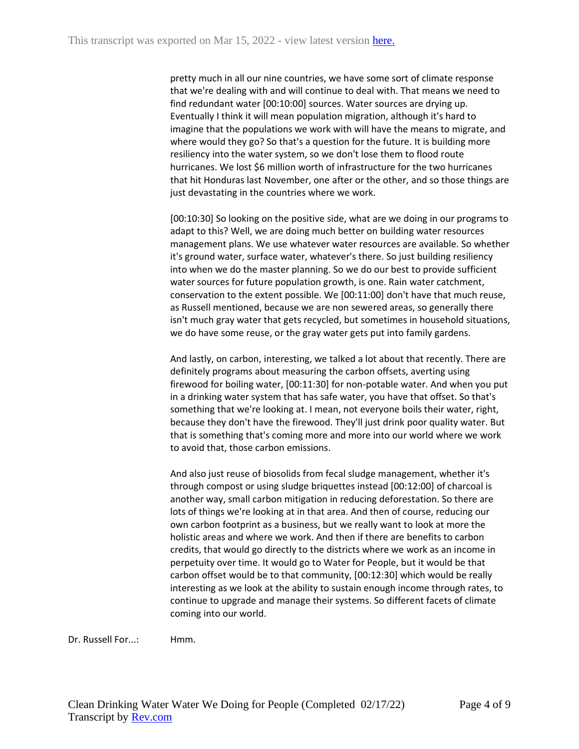pretty much in all our nine countries, we have some sort of climate response that we're dealing with and will continue to deal with. That means we need to find redundant water [00:10:00] sources. Water sources are drying up. Eventually I think it will mean population migration, although it's hard to imagine that the populations we work with will have the means to migrate, and where would they go? So that's a question for the future. It is building more resiliency into the water system, so we don't lose them to flood route hurricanes. We lost \$6 million worth of infrastructure for the two hurricanes that hit Honduras last November, one after or the other, and so those things are just devastating in the countries where we work.

[00:10:30] So looking on the positive side, what are we doing in our programs to adapt to this? Well, we are doing much better on building water resources management plans. We use whatever water resources are available. So whether it's ground water, surface water, whatever's there. So just building resiliency into when we do the master planning. So we do our best to provide sufficient water sources for future population growth, is one. Rain water catchment, conservation to the extent possible. We [00:11:00] don't have that much reuse, as Russell mentioned, because we are non sewered areas, so generally there isn't much gray water that gets recycled, but sometimes in household situations, we do have some reuse, or the gray water gets put into family gardens.

And lastly, on carbon, interesting, we talked a lot about that recently. There are definitely programs about measuring the carbon offsets, averting using firewood for boiling water, [00:11:30] for non-potable water. And when you put in a drinking water system that has safe water, you have that offset. So that's something that we're looking at. I mean, not everyone boils their water, right, because they don't have the firewood. They'll just drink poor quality water. But that is something that's coming more and more into our world where we work to avoid that, those carbon emissions.

And also just reuse of biosolids from fecal sludge management, whether it's through compost or using sludge briquettes instead [00:12:00] of charcoal is another way, small carbon mitigation in reducing deforestation. So there are lots of things we're looking at in that area. And then of course, reducing our own carbon footprint as a business, but we really want to look at more the holistic areas and where we work. And then if there are benefits to carbon credits, that would go directly to the districts where we work as an income in perpetuity over time. It would go to Water for People, but it would be that carbon offset would be to that community, [00:12:30] which would be really interesting as we look at the ability to sustain enough income through rates, to continue to upgrade and manage their systems. So different facets of climate coming into our world.

Dr. Russell For...: Hmm.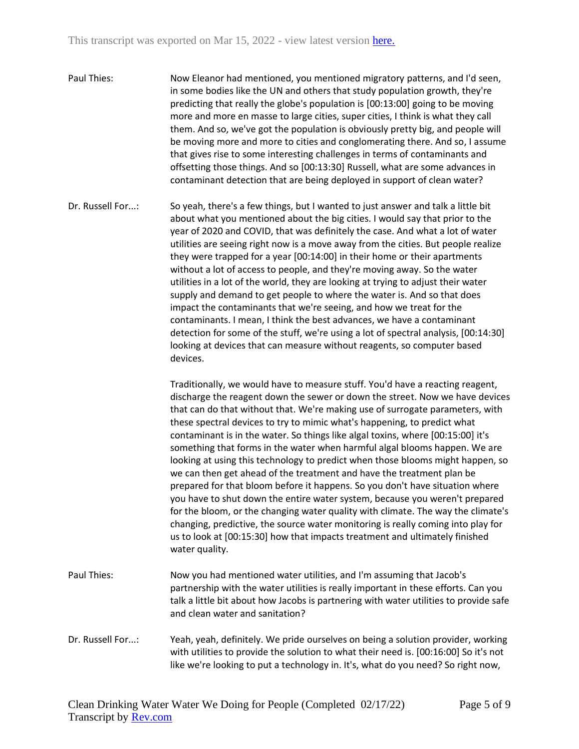- Paul Thies: Now Eleanor had mentioned, you mentioned migratory patterns, and I'd seen, in some bodies like the UN and others that study population growth, they're predicting that really the globe's population is [00:13:00] going to be moving more and more en masse to large cities, super cities, I think is what they call them. And so, we've got the population is obviously pretty big, and people will be moving more and more to cities and conglomerating there. And so, I assume that gives rise to some interesting challenges in terms of contaminants and offsetting those things. And so [00:13:30] Russell, what are some advances in contaminant detection that are being deployed in support of clean water?
- Dr. Russell For...: So yeah, there's a few things, but I wanted to just answer and talk a little bit about what you mentioned about the big cities. I would say that prior to the year of 2020 and COVID, that was definitely the case. And what a lot of water utilities are seeing right now is a move away from the cities. But people realize they were trapped for a year [00:14:00] in their home or their apartments without a lot of access to people, and they're moving away. So the water utilities in a lot of the world, they are looking at trying to adjust their water supply and demand to get people to where the water is. And so that does impact the contaminants that we're seeing, and how we treat for the contaminants. I mean, I think the best advances, we have a contaminant detection for some of the stuff, we're using a lot of spectral analysis, [00:14:30] looking at devices that can measure without reagents, so computer based devices.

Traditionally, we would have to measure stuff. You'd have a reacting reagent, discharge the reagent down the sewer or down the street. Now we have devices that can do that without that. We're making use of surrogate parameters, with these spectral devices to try to mimic what's happening, to predict what contaminant is in the water. So things like algal toxins, where [00:15:00] it's something that forms in the water when harmful algal blooms happen. We are looking at using this technology to predict when those blooms might happen, so we can then get ahead of the treatment and have the treatment plan be prepared for that bloom before it happens. So you don't have situation where you have to shut down the entire water system, because you weren't prepared for the bloom, or the changing water quality with climate. The way the climate's changing, predictive, the source water monitoring is really coming into play for us to look at [00:15:30] how that impacts treatment and ultimately finished water quality.

- Paul Thies: Now you had mentioned water utilities, and I'm assuming that Jacob's partnership with the water utilities is really important in these efforts. Can you talk a little bit about how Jacobs is partnering with water utilities to provide safe and clean water and sanitation?
- Dr. Russell For...: Yeah, yeah, definitely. We pride ourselves on being a solution provider, working with utilities to provide the solution to what their need is. [00:16:00] So it's not like we're looking to put a technology in. It's, what do you need? So right now,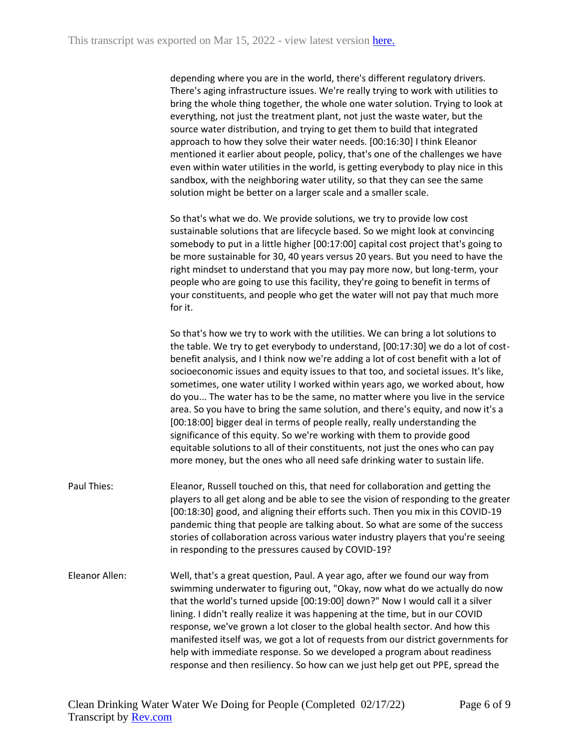depending where you are in the world, there's different regulatory drivers. There's aging infrastructure issues. We're really trying to work with utilities to bring the whole thing together, the whole one water solution. Trying to look at everything, not just the treatment plant, not just the waste water, but the source water distribution, and trying to get them to build that integrated approach to how they solve their water needs. [00:16:30] I think Eleanor mentioned it earlier about people, policy, that's one of the challenges we have even within water utilities in the world, is getting everybody to play nice in this sandbox, with the neighboring water utility, so that they can see the same solution might be better on a larger scale and a smaller scale.

So that's what we do. We provide solutions, we try to provide low cost sustainable solutions that are lifecycle based. So we might look at convincing somebody to put in a little higher [00:17:00] capital cost project that's going to be more sustainable for 30, 40 years versus 20 years. But you need to have the right mindset to understand that you may pay more now, but long-term, your people who are going to use this facility, they're going to benefit in terms of your constituents, and people who get the water will not pay that much more for it.

So that's how we try to work with the utilities. We can bring a lot solutions to the table. We try to get everybody to understand, [00:17:30] we do a lot of costbenefit analysis, and I think now we're adding a lot of cost benefit with a lot of socioeconomic issues and equity issues to that too, and societal issues. It's like, sometimes, one water utility I worked within years ago, we worked about, how do you... The water has to be the same, no matter where you live in the service area. So you have to bring the same solution, and there's equity, and now it's a [00:18:00] bigger deal in terms of people really, really understanding the significance of this equity. So we're working with them to provide good equitable solutions to all of their constituents, not just the ones who can pay more money, but the ones who all need safe drinking water to sustain life.

- Paul Thies: Eleanor, Russell touched on this, that need for collaboration and getting the players to all get along and be able to see the vision of responding to the greater [00:18:30] good, and aligning their efforts such. Then you mix in this COVID-19 pandemic thing that people are talking about. So what are some of the success stories of collaboration across various water industry players that you're seeing in responding to the pressures caused by COVID-19?
- Eleanor Allen: Well, that's a great question, Paul. A year ago, after we found our way from swimming underwater to figuring out, "Okay, now what do we actually do now that the world's turned upside [00:19:00] down?" Now I would call it a silver lining. I didn't really realize it was happening at the time, but in our COVID response, we've grown a lot closer to the global health sector. And how this manifested itself was, we got a lot of requests from our district governments for help with immediate response. So we developed a program about readiness response and then resiliency. So how can we just help get out PPE, spread the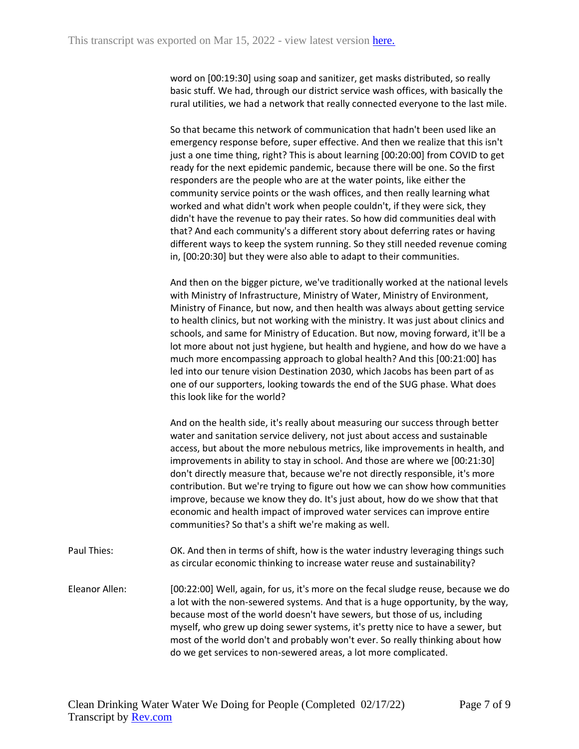word on [00:19:30] using soap and sanitizer, get masks distributed, so really basic stuff. We had, through our district service wash offices, with basically the rural utilities, we had a network that really connected everyone to the last mile.

So that became this network of communication that hadn't been used like an emergency response before, super effective. And then we realize that this isn't just a one time thing, right? This is about learning [00:20:00] from COVID to get ready for the next epidemic pandemic, because there will be one. So the first responders are the people who are at the water points, like either the community service points or the wash offices, and then really learning what worked and what didn't work when people couldn't, if they were sick, they didn't have the revenue to pay their rates. So how did communities deal with that? And each community's a different story about deferring rates or having different ways to keep the system running. So they still needed revenue coming in, [00:20:30] but they were also able to adapt to their communities.

And then on the bigger picture, we've traditionally worked at the national levels with Ministry of Infrastructure, Ministry of Water, Ministry of Environment, Ministry of Finance, but now, and then health was always about getting service to health clinics, but not working with the ministry. It was just about clinics and schools, and same for Ministry of Education. But now, moving forward, it'll be a lot more about not just hygiene, but health and hygiene, and how do we have a much more encompassing approach to global health? And this [00:21:00] has led into our tenure vision Destination 2030, which Jacobs has been part of as one of our supporters, looking towards the end of the SUG phase. What does this look like for the world?

And on the health side, it's really about measuring our success through better water and sanitation service delivery, not just about access and sustainable access, but about the more nebulous metrics, like improvements in health, and improvements in ability to stay in school. And those are where we [00:21:30] don't directly measure that, because we're not directly responsible, it's more contribution. But we're trying to figure out how we can show how communities improve, because we know they do. It's just about, how do we show that that economic and health impact of improved water services can improve entire communities? So that's a shift we're making as well.

- Paul Thies: OK. And then in terms of shift, how is the water industry leveraging things such as circular economic thinking to increase water reuse and sustainability?
- Eleanor Allen: [00:22:00] Well, again, for us, it's more on the fecal sludge reuse, because we do a lot with the non-sewered systems. And that is a huge opportunity, by the way, because most of the world doesn't have sewers, but those of us, including myself, who grew up doing sewer systems, it's pretty nice to have a sewer, but most of the world don't and probably won't ever. So really thinking about how do we get services to non-sewered areas, a lot more complicated.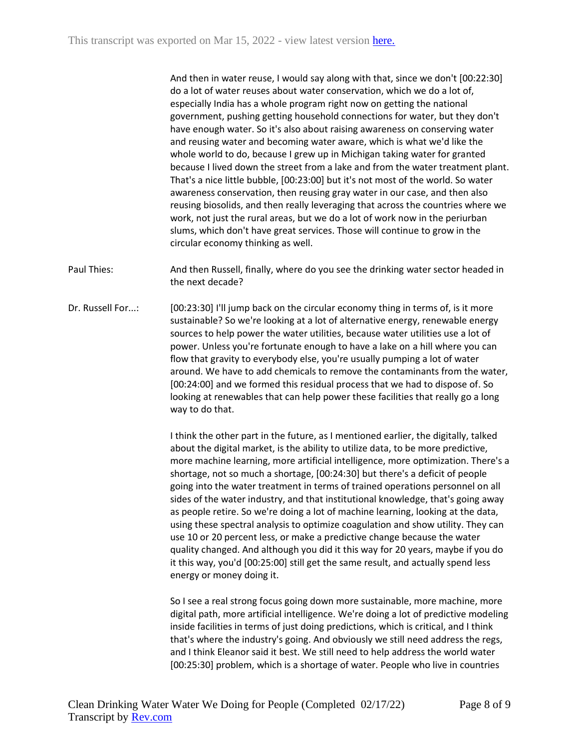And then in water reuse, I would say along with that, since we don't [00:22:30] do a lot of water reuses about water conservation, which we do a lot of, especially India has a whole program right now on getting the national government, pushing getting household connections for water, but they don't have enough water. So it's also about raising awareness on conserving water and reusing water and becoming water aware, which is what we'd like the whole world to do, because I grew up in Michigan taking water for granted because I lived down the street from a lake and from the water treatment plant. That's a nice little bubble, [00:23:00] but it's not most of the world. So water awareness conservation, then reusing gray water in our case, and then also reusing biosolids, and then really leveraging that across the countries where we work, not just the rural areas, but we do a lot of work now in the periurban slums, which don't have great services. Those will continue to grow in the circular economy thinking as well.

Paul Thies: And then Russell, finally, where do you see the drinking water sector headed in the next decade?

Dr. Russell For...: [00:23:30] I'll jump back on the circular economy thing in terms of, is it more sustainable? So we're looking at a lot of alternative energy, renewable energy sources to help power the water utilities, because water utilities use a lot of power. Unless you're fortunate enough to have a lake on a hill where you can flow that gravity to everybody else, you're usually pumping a lot of water around. We have to add chemicals to remove the contaminants from the water, [00:24:00] and we formed this residual process that we had to dispose of. So looking at renewables that can help power these facilities that really go a long way to do that.

> I think the other part in the future, as I mentioned earlier, the digitally, talked about the digital market, is the ability to utilize data, to be more predictive, more machine learning, more artificial intelligence, more optimization. There's a shortage, not so much a shortage, [00:24:30] but there's a deficit of people going into the water treatment in terms of trained operations personnel on all sides of the water industry, and that institutional knowledge, that's going away as people retire. So we're doing a lot of machine learning, looking at the data, using these spectral analysis to optimize coagulation and show utility. They can use 10 or 20 percent less, or make a predictive change because the water quality changed. And although you did it this way for 20 years, maybe if you do it this way, you'd [00:25:00] still get the same result, and actually spend less energy or money doing it.

> So I see a real strong focus going down more sustainable, more machine, more digital path, more artificial intelligence. We're doing a lot of predictive modeling inside facilities in terms of just doing predictions, which is critical, and I think that's where the industry's going. And obviously we still need address the regs, and I think Eleanor said it best. We still need to help address the world water [00:25:30] problem, which is a shortage of water. People who live in countries